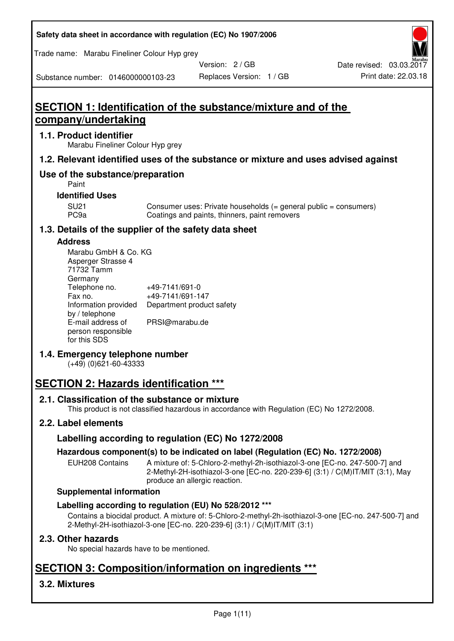| Safety data sheet in accordance with regulation (EC) No 1907/2006 |  |
|-------------------------------------------------------------------|--|
|-------------------------------------------------------------------|--|

Trade name: Marabu Fineliner Colour Hyp grey

Version: 2 / GB

Replaces Version: 1 / GB Print date: 22.03.18 Date revised: 03.03.2017

Substance number: 0146000000103-23

# **SECTION 1: Identification of the substance/mixture and of the company/undertaking**

#### **1.1. Product identifier**

Marabu Fineliner Colour Hyp grey

#### **1.2. Relevant identified uses of the substance or mixture and uses advised against**

## **Use of the substance/preparation**

Paint

#### **Identified Uses**

SU21 Consumer uses: Private households (= general public = consumers)<br>PC9a Coatings and paints, thinners, paint removers Coatings and paints, thinners, paint removers

#### **1.3. Details of the supplier of the safety data sheet**

#### **Address**

| Marabu GmbH & Co. KG |                           |
|----------------------|---------------------------|
| Asperger Strasse 4   |                           |
| 71732 Tamm           |                           |
| Germany              |                           |
| Telephone no.        | +49-7141/691-0            |
| Fax no.              | +49-7141/691-147          |
| Information provided | Department product safety |
| by / telephone       |                           |
| E-mail address of    | PRSI@marabu.de            |
| person responsible   |                           |
| for this SDS         |                           |

#### **1.4. Emergency telephone number**

(+49) (0)621-60-43333

# **SECTION 2: Hazards identification \*\*\***

#### **2.1. Classification of the substance or mixture**

This product is not classified hazardous in accordance with Regulation (EC) No 1272/2008.

#### **2.2. Label elements**

#### **Labelling according to regulation (EC) No 1272/2008**

#### **Hazardous component(s) to be indicated on label (Regulation (EC) No. 1272/2008)**

EUH208 Contains A mixture of: 5-Chloro-2-methyl-2h-isothiazol-3-one [EC-no. 247-500-7] and 2-Methyl-2H-isothiazol-3-one [EC-no. 220-239-6] (3:1) / C(M)IT/MIT (3:1), May produce an allergic reaction.

#### **Supplemental information**

#### **Labelling according to regulation (EU) No 528/2012 \*\*\***

Contains a biocidal product. A mixture of: 5-Chloro-2-methyl-2h-isothiazol-3-one [EC-no. 247-500-7] and 2-Methyl-2H-isothiazol-3-one [EC-no. 220-239-6] (3:1) / C(M)IT/MIT (3:1)

#### **2.3. Other hazards**

No special hazards have to be mentioned.

# **SECTION 3: Composition/information on ingredients \*\*\***

## **3.2. Mixtures**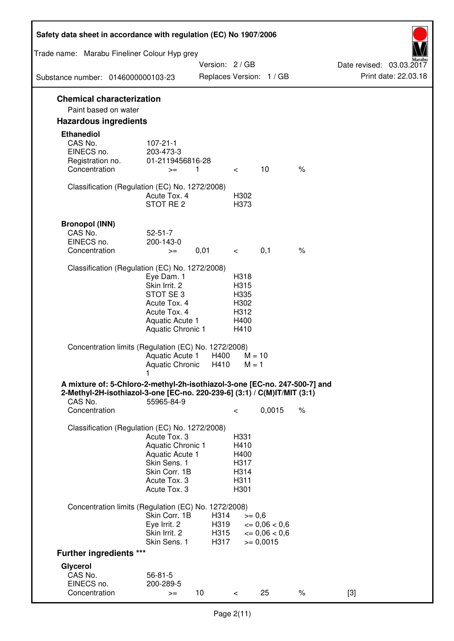| Safety data sheet in accordance with regulation (EC) No 1907/2006                                                                                      |                                      |                 |                    |                          |      |                                                  |
|--------------------------------------------------------------------------------------------------------------------------------------------------------|--------------------------------------|-----------------|--------------------|--------------------------|------|--------------------------------------------------|
| Trade name: Marabu Fineliner Colour Hyp grey                                                                                                           |                                      |                 |                    |                          |      |                                                  |
| Substance number: 0146000000103-23                                                                                                                     |                                      | Version: 2 / GB |                    | Replaces Version: 1 / GB |      | Date revised: 03.03.2017<br>Print date: 22.03.18 |
|                                                                                                                                                        |                                      |                 |                    |                          |      |                                                  |
| <b>Chemical characterization</b><br>Paint based on water                                                                                               |                                      |                 |                    |                          |      |                                                  |
| <b>Hazardous ingredients</b>                                                                                                                           |                                      |                 |                    |                          |      |                                                  |
| <b>Ethanediol</b>                                                                                                                                      |                                      |                 |                    |                          |      |                                                  |
| CAS No.                                                                                                                                                | $107 - 21 - 1$                       |                 |                    |                          |      |                                                  |
| EINECS no.                                                                                                                                             | 203-473-3                            |                 |                    |                          |      |                                                  |
| Registration no.<br>Concentration                                                                                                                      | 01-2119456816-28<br>$>=$             | 1               | $\lt$              | 10                       | $\%$ |                                                  |
|                                                                                                                                                        |                                      |                 |                    |                          |      |                                                  |
| Classification (Regulation (EC) No. 1272/2008)                                                                                                         |                                      |                 |                    |                          |      |                                                  |
|                                                                                                                                                        | Acute Tox. 4<br>STOT RE 2            |                 | H302<br>H373       |                          |      |                                                  |
|                                                                                                                                                        |                                      |                 |                    |                          |      |                                                  |
| <b>Bronopol (INN)</b>                                                                                                                                  |                                      |                 |                    |                          |      |                                                  |
| CAS No.                                                                                                                                                | $52 - 51 - 7$                        |                 |                    |                          |      |                                                  |
| EINECS no.<br>Concentration                                                                                                                            | 200-143-0<br>$>=$                    | 0,01            | $\prec$ and $\sim$ | 0,1                      | $\%$ |                                                  |
|                                                                                                                                                        |                                      |                 |                    |                          |      |                                                  |
| Classification (Regulation (EC) No. 1272/2008)                                                                                                         |                                      |                 |                    |                          |      |                                                  |
|                                                                                                                                                        | Eye Dam. 1<br>Skin Irrit. 2          |                 | H318<br>H315       |                          |      |                                                  |
|                                                                                                                                                        | STOT SE 3                            |                 | H335               |                          |      |                                                  |
|                                                                                                                                                        | Acute Tox. 4                         |                 | H302               |                          |      |                                                  |
|                                                                                                                                                        | Acute Tox. 4<br>Aquatic Acute 1      |                 | H312<br>H400       |                          |      |                                                  |
|                                                                                                                                                        | Aquatic Chronic 1                    |                 | H410               |                          |      |                                                  |
| Concentration limits (Regulation (EC) No. 1272/2008)                                                                                                   |                                      |                 |                    |                          |      |                                                  |
|                                                                                                                                                        | Aquatic Acute 1                      | H400            |                    | $M = 10$                 |      |                                                  |
|                                                                                                                                                        | Aquatic Chronic H410                 |                 | $M = 1$            |                          |      |                                                  |
| A mixture of: 5-Chloro-2-methyl-2h-isothiazol-3-one [EC-no. 247-500-7] and<br>2-Methyl-2H-isothiazol-3-one [EC-no. 220-239-6] (3:1) / C(M)IT/MIT (3:1) |                                      |                 |                    |                          |      |                                                  |
| CAS No.<br>Concentration                                                                                                                               | 55965-84-9                           |                 | $\,<\,$            | 0,0015                   | $\%$ |                                                  |
| Classification (Regulation (EC) No. 1272/2008)                                                                                                         |                                      |                 |                    |                          |      |                                                  |
|                                                                                                                                                        | Acute Tox. 3                         |                 | H331               |                          |      |                                                  |
|                                                                                                                                                        | Aquatic Chronic 1<br>Aquatic Acute 1 |                 | H410<br>H400       |                          |      |                                                  |
|                                                                                                                                                        | Skin Sens. 1                         |                 | H317               |                          |      |                                                  |
|                                                                                                                                                        | Skin Corr. 1B                        |                 | H314               |                          |      |                                                  |
|                                                                                                                                                        | Acute Tox. 3<br>Acute Tox. 3         |                 | H311<br>H301       |                          |      |                                                  |
|                                                                                                                                                        |                                      |                 |                    |                          |      |                                                  |
| Concentration limits (Regulation (EC) No. 1272/2008)                                                                                                   | Skin Corr. 1B                        | H314            | $>= 0,6$           |                          |      |                                                  |
|                                                                                                                                                        | Eye Irrit. 2                         | H319            |                    | $\epsilon = 0.06 < 0.6$  |      |                                                  |
|                                                                                                                                                        | Skin Irrit. 2                        | H315            |                    | $\epsilon = 0.06 < 0.6$  |      |                                                  |
|                                                                                                                                                        | Skin Sens. 1                         | H317            |                    | $= 0,0015$               |      |                                                  |
| <b>Further ingredients ***</b>                                                                                                                         |                                      |                 |                    |                          |      |                                                  |
| Glycerol<br>CAS No.                                                                                                                                    | $56 - 81 - 5$                        |                 |                    |                          |      |                                                  |
| EINECS no.                                                                                                                                             | 200-289-5                            |                 |                    |                          |      |                                                  |
| Concentration                                                                                                                                          | $>=$                                 | 10 <sup>°</sup> | $\,<\,$            | 25                       | $\%$ | $[3]$                                            |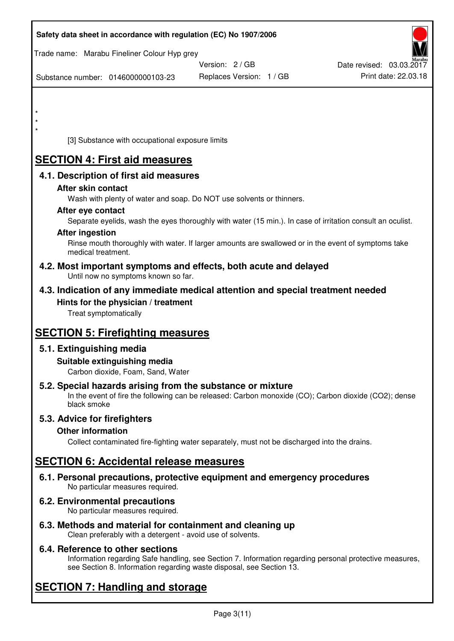| Safety data sheet in accordance with regulation (EC) No 1907/2006                                                       |                                                                                                            |                          |
|-------------------------------------------------------------------------------------------------------------------------|------------------------------------------------------------------------------------------------------------|--------------------------|
| Trade name: Marabu Fineliner Colour Hyp grey                                                                            |                                                                                                            |                          |
|                                                                                                                         | Version: 2 / GB                                                                                            | Date revised: 03.03.2017 |
| Substance number: 0146000000103-23                                                                                      | Replaces Version: 1 / GB                                                                                   | Print date: 22.03.18     |
|                                                                                                                         |                                                                                                            |                          |
| $\star$                                                                                                                 |                                                                                                            |                          |
| $\star$                                                                                                                 |                                                                                                            |                          |
| $\star$                                                                                                                 |                                                                                                            |                          |
| [3] Substance with occupational exposure limits                                                                         |                                                                                                            |                          |
| <b>SECTION 4: First aid measures</b>                                                                                    |                                                                                                            |                          |
| 4.1. Description of first aid measures                                                                                  |                                                                                                            |                          |
| After skin contact                                                                                                      |                                                                                                            |                          |
|                                                                                                                         | Wash with plenty of water and soap. Do NOT use solvents or thinners.                                       |                          |
| After eye contact                                                                                                       |                                                                                                            |                          |
| <b>After ingestion</b>                                                                                                  | Separate eyelids, wash the eyes thoroughly with water (15 min.). In case of irritation consult an oculist. |                          |
|                                                                                                                         | Rinse mouth thoroughly with water. If larger amounts are swallowed or in the event of symptoms take        |                          |
| medical treatment.                                                                                                      |                                                                                                            |                          |
| 4.2. Most important symptoms and effects, both acute and delayed<br>Until now no symptoms known so far.                 |                                                                                                            |                          |
| 4.3. Indication of any immediate medical attention and special treatment needed                                         |                                                                                                            |                          |
| Hints for the physician / treatment                                                                                     |                                                                                                            |                          |
| Treat symptomatically                                                                                                   |                                                                                                            |                          |
| <b>SECTION 5: Firefighting measures</b>                                                                                 |                                                                                                            |                          |
| 5.1. Extinguishing media                                                                                                |                                                                                                            |                          |
| Suitable extinguishing media                                                                                            |                                                                                                            |                          |
| Carbon dioxide, Foam, Sand, Water                                                                                       |                                                                                                            |                          |
| 5.2. Special hazards arising from the substance or mixture<br>black smoke                                               | In the event of fire the following can be released: Carbon monoxide (CO); Carbon dioxide (CO2); dense      |                          |
| 5.3. Advice for firefighters                                                                                            |                                                                                                            |                          |
| <b>Other information</b>                                                                                                |                                                                                                            |                          |
|                                                                                                                         | Collect contaminated fire-fighting water separately, must not be discharged into the drains.               |                          |
| <b>SECTION 6: Accidental release measures</b>                                                                           |                                                                                                            |                          |
| 6.1. Personal precautions, protective equipment and emergency procedures<br>No particular measures required.            |                                                                                                            |                          |
| 6.2. Environmental precautions<br>No particular measures required.                                                      |                                                                                                            |                          |
| 6.3. Methods and material for containment and cleaning up<br>Clean preferably with a detergent - avoid use of solvents. |                                                                                                            |                          |

## **6.4. Reference to other sections**

Information regarding Safe handling, see Section 7. Information regarding personal protective measures, see Section 8. Information regarding waste disposal, see Section 13.

# **SECTION 7: Handling and storage**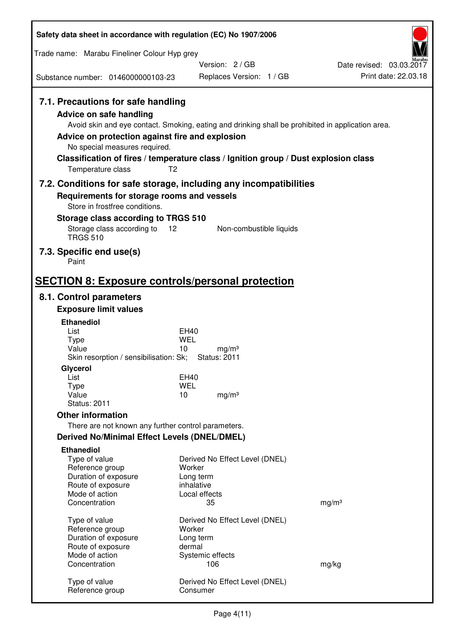| Safety data sheet in accordance with regulation (EC) No 1907/2006                                                                                                                               |                                                                                                                                                                                          |                                                  |  |  |
|-------------------------------------------------------------------------------------------------------------------------------------------------------------------------------------------------|------------------------------------------------------------------------------------------------------------------------------------------------------------------------------------------|--------------------------------------------------|--|--|
| Trade name: Marabu Fineliner Colour Hyp grey                                                                                                                                                    |                                                                                                                                                                                          |                                                  |  |  |
|                                                                                                                                                                                                 | Version: 2/GB                                                                                                                                                                            | Date revised: 03.03.2017<br>Print date: 22.03.18 |  |  |
| Substance number: 0146000000103-23                                                                                                                                                              | Replaces Version: 1 / GB                                                                                                                                                                 |                                                  |  |  |
| 7.1. Precautions for safe handling<br><b>Advice on safe handling</b><br>Advice on protection against fire and explosion<br>No special measures required.<br>T <sub>2</sub><br>Temperature class | Avoid skin and eye contact. Smoking, eating and drinking shall be prohibited in application area.<br>Classification of fires / temperature class / Ignition group / Dust explosion class |                                                  |  |  |
| Requirements for storage rooms and vessels                                                                                                                                                      | 7.2. Conditions for safe storage, including any incompatibilities                                                                                                                        |                                                  |  |  |
| Store in frostfree conditions.                                                                                                                                                                  |                                                                                                                                                                                          |                                                  |  |  |
| Storage class according to TRGS 510                                                                                                                                                             |                                                                                                                                                                                          |                                                  |  |  |
| Storage class according to<br>12<br><b>TRGS 510</b>                                                                                                                                             | Non-combustible liquids                                                                                                                                                                  |                                                  |  |  |
| 7.3. Specific end use(s)<br>Paint                                                                                                                                                               |                                                                                                                                                                                          |                                                  |  |  |
| <b>SECTION 8: Exposure controls/personal protection</b>                                                                                                                                         |                                                                                                                                                                                          |                                                  |  |  |
| 8.1. Control parameters                                                                                                                                                                         |                                                                                                                                                                                          |                                                  |  |  |
| <b>Exposure limit values</b>                                                                                                                                                                    |                                                                                                                                                                                          |                                                  |  |  |
| <b>Ethanediol</b>                                                                                                                                                                               |                                                                                                                                                                                          |                                                  |  |  |
| List<br><b>Type</b>                                                                                                                                                                             | <b>EH40</b><br>WEL                                                                                                                                                                       |                                                  |  |  |
| Value<br>Skin resorption / sensibilisation: Sk;                                                                                                                                                 | 10<br>mg/m <sup>3</sup><br><b>Status: 2011</b>                                                                                                                                           |                                                  |  |  |
| Glycerol                                                                                                                                                                                        |                                                                                                                                                                                          |                                                  |  |  |
| List                                                                                                                                                                                            | <b>EH40</b>                                                                                                                                                                              |                                                  |  |  |
| <b>Type</b><br>Value                                                                                                                                                                            | <b>WEL</b><br>10<br>mg/m <sup>3</sup>                                                                                                                                                    |                                                  |  |  |
| <b>Status: 2011</b>                                                                                                                                                                             |                                                                                                                                                                                          |                                                  |  |  |
| <b>Other information</b>                                                                                                                                                                        |                                                                                                                                                                                          |                                                  |  |  |
| There are not known any further control parameters.                                                                                                                                             |                                                                                                                                                                                          |                                                  |  |  |
| Derived No/Minimal Effect Levels (DNEL/DMEL)<br><b>Ethanediol</b>                                                                                                                               |                                                                                                                                                                                          |                                                  |  |  |
| Type of value                                                                                                                                                                                   | Derived No Effect Level (DNEL)                                                                                                                                                           |                                                  |  |  |
| Reference group                                                                                                                                                                                 | Worker                                                                                                                                                                                   |                                                  |  |  |
| Duration of exposure<br>Route of exposure                                                                                                                                                       | Long term<br>inhalative                                                                                                                                                                  |                                                  |  |  |
| Mode of action                                                                                                                                                                                  | Local effects                                                                                                                                                                            |                                                  |  |  |
| Concentration                                                                                                                                                                                   | 35                                                                                                                                                                                       | mg/m <sup>3</sup>                                |  |  |
| Type of value                                                                                                                                                                                   | Derived No Effect Level (DNEL)                                                                                                                                                           |                                                  |  |  |
| Reference group                                                                                                                                                                                 | Worker                                                                                                                                                                                   |                                                  |  |  |
| Duration of exposure<br>Route of exposure                                                                                                                                                       | Long term<br>dermal                                                                                                                                                                      |                                                  |  |  |
| Mode of action                                                                                                                                                                                  | Systemic effects                                                                                                                                                                         |                                                  |  |  |
| Concentration                                                                                                                                                                                   | 106                                                                                                                                                                                      | mg/kg                                            |  |  |
| Type of value<br>Reference group                                                                                                                                                                | Derived No Effect Level (DNEL)<br>Consumer                                                                                                                                               |                                                  |  |  |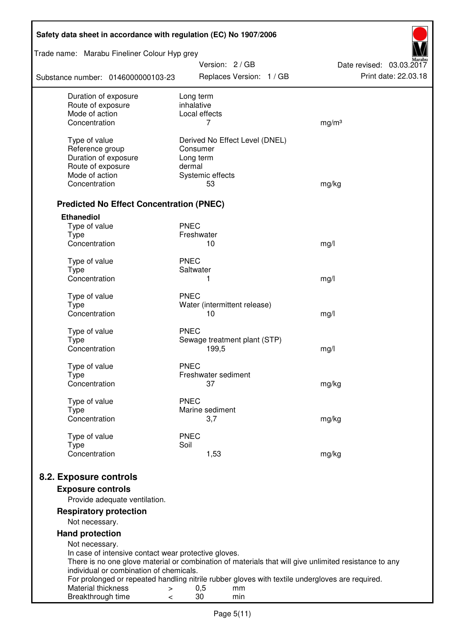| Safety data sheet in accordance with regulation (EC) No 1907/2006 |                                             |                                                                                                       |  |  |
|-------------------------------------------------------------------|---------------------------------------------|-------------------------------------------------------------------------------------------------------|--|--|
| Trade name: Marabu Fineliner Colour Hyp grey                      |                                             |                                                                                                       |  |  |
| Substance number: 0146000000103-23                                | Version: 2 / GB<br>Replaces Version: 1 / GB | Date revised: 03.03.2017<br>Print date: 22.03.18                                                      |  |  |
| Duration of exposure<br>Route of exposure                         | Long term<br>inhalative                     |                                                                                                       |  |  |
| Mode of action                                                    | Local effects                               |                                                                                                       |  |  |
| Concentration                                                     | 7                                           | mg/m <sup>3</sup>                                                                                     |  |  |
| Type of value                                                     | Derived No Effect Level (DNEL)              |                                                                                                       |  |  |
| Reference group                                                   | Consumer                                    |                                                                                                       |  |  |
| Duration of exposure                                              | Long term                                   |                                                                                                       |  |  |
| Route of exposure                                                 | dermal                                      |                                                                                                       |  |  |
| Mode of action                                                    | Systemic effects                            |                                                                                                       |  |  |
| Concentration                                                     | 53                                          | mg/kg                                                                                                 |  |  |
| <b>Predicted No Effect Concentration (PNEC)</b>                   |                                             |                                                                                                       |  |  |
| <b>Ethanediol</b>                                                 |                                             |                                                                                                       |  |  |
| Type of value                                                     | <b>PNEC</b>                                 |                                                                                                       |  |  |
| <b>Type</b>                                                       | Freshwater                                  |                                                                                                       |  |  |
| Concentration                                                     | 10                                          | mg/l                                                                                                  |  |  |
| Type of value                                                     | <b>PNEC</b>                                 |                                                                                                       |  |  |
| <b>Type</b>                                                       | Saltwater                                   |                                                                                                       |  |  |
| Concentration                                                     | 1                                           | mg/l                                                                                                  |  |  |
| Type of value                                                     | <b>PNEC</b>                                 |                                                                                                       |  |  |
| <b>Type</b>                                                       | Water (intermittent release)                |                                                                                                       |  |  |
| Concentration                                                     | 10                                          | mg/l                                                                                                  |  |  |
| Type of value                                                     | <b>PNEC</b>                                 |                                                                                                       |  |  |
| <b>Type</b>                                                       | Sewage treatment plant (STP)                |                                                                                                       |  |  |
| Concentration                                                     | 199,5                                       | mg/l                                                                                                  |  |  |
| Type of value                                                     | <b>PNEC</b>                                 |                                                                                                       |  |  |
| Type                                                              | Freshwater sediment                         |                                                                                                       |  |  |
| Concentration                                                     | 37                                          | mg/kg                                                                                                 |  |  |
| Type of value                                                     | <b>PNEC</b>                                 |                                                                                                       |  |  |
| Type                                                              | Marine sediment                             |                                                                                                       |  |  |
| Concentration                                                     | 3,7                                         | mg/kg                                                                                                 |  |  |
| Type of value                                                     | <b>PNEC</b>                                 |                                                                                                       |  |  |
| <b>Type</b><br>Concentration                                      | Soil<br>1,53                                | mg/kg                                                                                                 |  |  |
|                                                                   |                                             |                                                                                                       |  |  |
| 8.2. Exposure controls                                            |                                             |                                                                                                       |  |  |
| <b>Exposure controls</b>                                          |                                             |                                                                                                       |  |  |
| Provide adequate ventilation.                                     |                                             |                                                                                                       |  |  |
| <b>Respiratory protection</b>                                     |                                             |                                                                                                       |  |  |
| Not necessary.                                                    |                                             |                                                                                                       |  |  |
| <b>Hand protection</b><br>Not necessary.                          |                                             |                                                                                                       |  |  |
| In case of intensive contact wear protective gloves.              |                                             |                                                                                                       |  |  |
|                                                                   |                                             | There is no one glove material or combination of materials that will give unlimited resistance to any |  |  |
| individual or combination of chemicals.                           |                                             | For prolonged or repeated handling nitrile rubber gloves with textile undergloves are required.       |  |  |
| Material thickness<br>$\, > \,$                                   | 0,5<br>mm                                   |                                                                                                       |  |  |
| Breakthrough time<br>$\,<\,$                                      | 30<br>min                                   |                                                                                                       |  |  |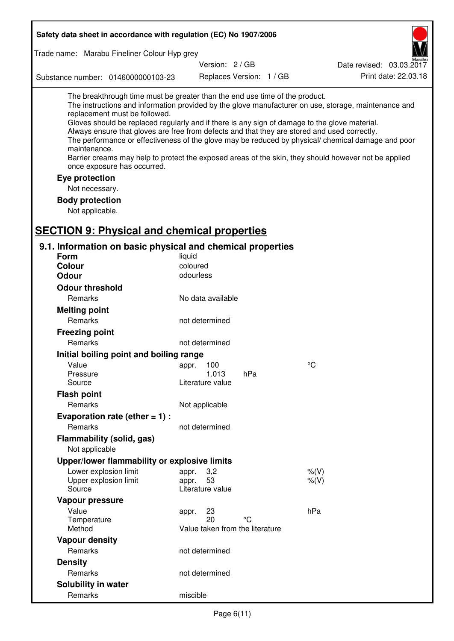| Safety data sheet in accordance with regulation (EC) No 1907/2006                                                                                                                                                                                                                                                                                            |                                                 |                          |                                                                                                                                                                                                                                                                                                                    |
|--------------------------------------------------------------------------------------------------------------------------------------------------------------------------------------------------------------------------------------------------------------------------------------------------------------------------------------------------------------|-------------------------------------------------|--------------------------|--------------------------------------------------------------------------------------------------------------------------------------------------------------------------------------------------------------------------------------------------------------------------------------------------------------------|
| Trade name: Marabu Fineliner Colour Hyp grey                                                                                                                                                                                                                                                                                                                 |                                                 |                          |                                                                                                                                                                                                                                                                                                                    |
|                                                                                                                                                                                                                                                                                                                                                              | Version: 2 / GB                                 |                          | Date revised: 03.03.2017                                                                                                                                                                                                                                                                                           |
| Substance number: 0146000000103-23                                                                                                                                                                                                                                                                                                                           |                                                 | Replaces Version: 1 / GB | Print date: 22.03.18                                                                                                                                                                                                                                                                                               |
| The breakthrough time must be greater than the end use time of the product.<br>replacement must be followed.<br>Gloves should be replaced regularly and if there is any sign of damage to the glove material.<br>Always ensure that gloves are free from defects and that they are stored and used correctly.<br>maintenance.<br>once exposure has occurred. |                                                 |                          | The instructions and information provided by the glove manufacturer on use, storage, maintenance and<br>The performance or effectiveness of the glove may be reduced by physical/ chemical damage and poor<br>Barrier creams may help to protect the exposed areas of the skin, they should however not be applied |
| Eye protection                                                                                                                                                                                                                                                                                                                                               |                                                 |                          |                                                                                                                                                                                                                                                                                                                    |
| Not necessary.                                                                                                                                                                                                                                                                                                                                               |                                                 |                          |                                                                                                                                                                                                                                                                                                                    |
| <b>Body protection</b><br>Not applicable.                                                                                                                                                                                                                                                                                                                    |                                                 |                          |                                                                                                                                                                                                                                                                                                                    |
| <b>SECTION 9: Physical and chemical properties</b>                                                                                                                                                                                                                                                                                                           |                                                 |                          |                                                                                                                                                                                                                                                                                                                    |
| 9.1. Information on basic physical and chemical properties                                                                                                                                                                                                                                                                                                   |                                                 |                          |                                                                                                                                                                                                                                                                                                                    |
| <b>Form</b>                                                                                                                                                                                                                                                                                                                                                  | liquid                                          |                          |                                                                                                                                                                                                                                                                                                                    |
| Colour                                                                                                                                                                                                                                                                                                                                                       | coloured                                        |                          |                                                                                                                                                                                                                                                                                                                    |
| <b>Odour</b>                                                                                                                                                                                                                                                                                                                                                 | odourless                                       |                          |                                                                                                                                                                                                                                                                                                                    |
| <b>Odour threshold</b>                                                                                                                                                                                                                                                                                                                                       |                                                 |                          |                                                                                                                                                                                                                                                                                                                    |
| Remarks                                                                                                                                                                                                                                                                                                                                                      | No data available                               |                          |                                                                                                                                                                                                                                                                                                                    |
| <b>Melting point</b>                                                                                                                                                                                                                                                                                                                                         |                                                 |                          |                                                                                                                                                                                                                                                                                                                    |
| Remarks                                                                                                                                                                                                                                                                                                                                                      | not determined                                  |                          |                                                                                                                                                                                                                                                                                                                    |
| <b>Freezing point</b>                                                                                                                                                                                                                                                                                                                                        |                                                 |                          |                                                                                                                                                                                                                                                                                                                    |
| Remarks                                                                                                                                                                                                                                                                                                                                                      | not determined                                  |                          |                                                                                                                                                                                                                                                                                                                    |
| Initial boiling point and boiling range                                                                                                                                                                                                                                                                                                                      |                                                 |                          |                                                                                                                                                                                                                                                                                                                    |
| Value                                                                                                                                                                                                                                                                                                                                                        | appr. 100                                       |                          | $^{\circ}C$                                                                                                                                                                                                                                                                                                        |
| Pressure                                                                                                                                                                                                                                                                                                                                                     | 1.013                                           | hPa                      |                                                                                                                                                                                                                                                                                                                    |
| Source                                                                                                                                                                                                                                                                                                                                                       | Literature value                                |                          |                                                                                                                                                                                                                                                                                                                    |
| <b>Flash point</b>                                                                                                                                                                                                                                                                                                                                           |                                                 |                          |                                                                                                                                                                                                                                                                                                                    |
| Remarks                                                                                                                                                                                                                                                                                                                                                      | Not applicable                                  |                          |                                                                                                                                                                                                                                                                                                                    |
| Evaporation rate (ether $= 1$ ) :                                                                                                                                                                                                                                                                                                                            |                                                 |                          |                                                                                                                                                                                                                                                                                                                    |
| Remarks                                                                                                                                                                                                                                                                                                                                                      | not determined                                  |                          |                                                                                                                                                                                                                                                                                                                    |
| Flammability (solid, gas)                                                                                                                                                                                                                                                                                                                                    |                                                 |                          |                                                                                                                                                                                                                                                                                                                    |
| Not applicable                                                                                                                                                                                                                                                                                                                                               |                                                 |                          |                                                                                                                                                                                                                                                                                                                    |
| Upper/lower flammability or explosive limits                                                                                                                                                                                                                                                                                                                 |                                                 |                          |                                                                                                                                                                                                                                                                                                                    |
| Lower explosion limit<br>Upper explosion limit<br>Source                                                                                                                                                                                                                                                                                                     | 3,2<br>appr.<br>53<br>appr.<br>Literature value |                          | $%$ $(V)$<br>% (V)                                                                                                                                                                                                                                                                                                 |
| Vapour pressure                                                                                                                                                                                                                                                                                                                                              |                                                 |                          |                                                                                                                                                                                                                                                                                                                    |
| Value                                                                                                                                                                                                                                                                                                                                                        | 23<br>appr.                                     |                          | hPa                                                                                                                                                                                                                                                                                                                |
| Temperature                                                                                                                                                                                                                                                                                                                                                  | 20                                              | °۲                       |                                                                                                                                                                                                                                                                                                                    |
| Method                                                                                                                                                                                                                                                                                                                                                       | Value taken from the literature                 |                          |                                                                                                                                                                                                                                                                                                                    |
| <b>Vapour density</b>                                                                                                                                                                                                                                                                                                                                        |                                                 |                          |                                                                                                                                                                                                                                                                                                                    |
| Remarks                                                                                                                                                                                                                                                                                                                                                      | not determined                                  |                          |                                                                                                                                                                                                                                                                                                                    |
| <b>Density</b>                                                                                                                                                                                                                                                                                                                                               |                                                 |                          |                                                                                                                                                                                                                                                                                                                    |
| Remarks                                                                                                                                                                                                                                                                                                                                                      | not determined                                  |                          |                                                                                                                                                                                                                                                                                                                    |
| Solubility in water                                                                                                                                                                                                                                                                                                                                          |                                                 |                          |                                                                                                                                                                                                                                                                                                                    |
| Remarks                                                                                                                                                                                                                                                                                                                                                      | miscible                                        |                          |                                                                                                                                                                                                                                                                                                                    |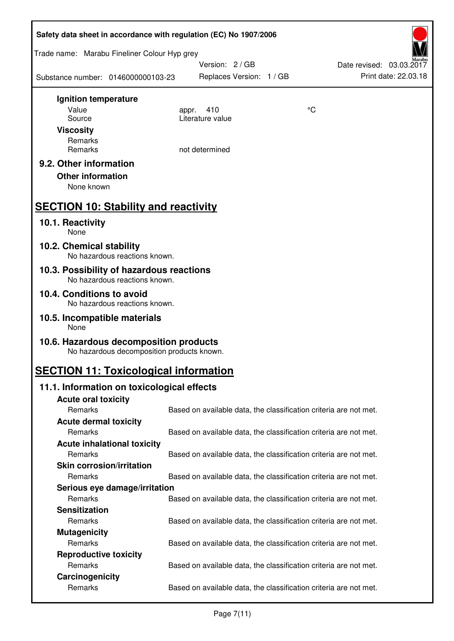| Safety data sheet in accordance with regulation (EC) No 1907/2006                    |                                                                   |    |                          |  |  |
|--------------------------------------------------------------------------------------|-------------------------------------------------------------------|----|--------------------------|--|--|
| Trade name: Marabu Fineliner Colour Hyp grey                                         |                                                                   |    |                          |  |  |
|                                                                                      | Version: 2 / GB                                                   |    | Date revised: 03.03.2017 |  |  |
| Substance number: 0146000000103-23                                                   | Replaces Version: 1 / GB                                          |    | Print date: 22.03.18     |  |  |
| Ignition temperature                                                                 |                                                                   |    |                          |  |  |
| Value                                                                                | 410<br>appr.                                                      | °C |                          |  |  |
| Source                                                                               | Literature value                                                  |    |                          |  |  |
| <b>Viscosity</b><br>Remarks                                                          |                                                                   |    |                          |  |  |
| Remarks                                                                              | not determined                                                    |    |                          |  |  |
| 9.2. Other information                                                               |                                                                   |    |                          |  |  |
| <b>Other information</b>                                                             |                                                                   |    |                          |  |  |
| None known                                                                           |                                                                   |    |                          |  |  |
| <b>SECTION 10: Stability and reactivity</b>                                          |                                                                   |    |                          |  |  |
| 10.1. Reactivity<br>None                                                             |                                                                   |    |                          |  |  |
| 10.2. Chemical stability<br>No hazardous reactions known.                            |                                                                   |    |                          |  |  |
| 10.3. Possibility of hazardous reactions                                             |                                                                   |    |                          |  |  |
| No hazardous reactions known.<br>10.4. Conditions to avoid                           |                                                                   |    |                          |  |  |
| No hazardous reactions known.                                                        |                                                                   |    |                          |  |  |
| 10.5. Incompatible materials<br>None                                                 |                                                                   |    |                          |  |  |
| 10.6. Hazardous decomposition products<br>No hazardous decomposition products known. |                                                                   |    |                          |  |  |
| <b>SECTION 11: Toxicological information</b>                                         |                                                                   |    |                          |  |  |
| 11.1. Information on toxicological effects                                           |                                                                   |    |                          |  |  |
| <b>Acute oral toxicity</b>                                                           |                                                                   |    |                          |  |  |
| Remarks                                                                              | Based on available data, the classification criteria are not met. |    |                          |  |  |
| <b>Acute dermal toxicity</b>                                                         |                                                                   |    |                          |  |  |
| Remarks                                                                              | Based on available data, the classification criteria are not met. |    |                          |  |  |
| <b>Acute inhalational toxicity</b><br>Remarks                                        |                                                                   |    |                          |  |  |
| <b>Skin corrosion/irritation</b>                                                     | Based on available data, the classification criteria are not met. |    |                          |  |  |
| Remarks                                                                              | Based on available data, the classification criteria are not met. |    |                          |  |  |
| Serious eye damage/irritation                                                        |                                                                   |    |                          |  |  |
| Remarks                                                                              | Based on available data, the classification criteria are not met. |    |                          |  |  |
| <b>Sensitization</b>                                                                 |                                                                   |    |                          |  |  |
| Remarks                                                                              | Based on available data, the classification criteria are not met. |    |                          |  |  |
| <b>Mutagenicity</b>                                                                  |                                                                   |    |                          |  |  |
| Remarks                                                                              | Based on available data, the classification criteria are not met. |    |                          |  |  |
| <b>Reproductive toxicity</b>                                                         |                                                                   |    |                          |  |  |
| Remarks                                                                              | Based on available data, the classification criteria are not met. |    |                          |  |  |
| Carcinogenicity                                                                      |                                                                   |    |                          |  |  |
| Remarks                                                                              | Based on available data, the classification criteria are not met. |    |                          |  |  |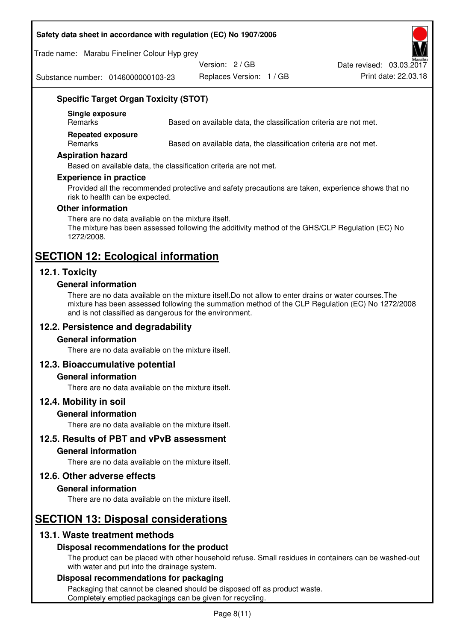#### **Safety data sheet in accordance with regulation (EC) No 1907/2006**

Trade name: Marabu Fineliner Colour Hyp grey

Version: 2 / GB

Date revised: 03.03.2017

Substance number: 0146000000103-23

Replaces Version: 1 / GB Print date: 22.03.18

## **Specific Target Organ Toxicity (STOT)**

**Single exposure** 

Based on available data, the classification criteria are not met.

**Repeated exposure** 

Remarks Based on available data, the classification criteria are not met.

#### **Aspiration hazard**

Based on available data, the classification criteria are not met.

#### **Experience in practice**

Provided all the recommended protective and safety precautions are taken, experience shows that no risk to health can be expected.

#### **Other information**

There are no data available on the mixture itself. The mixture has been assessed following the additivity method of the GHS/CLP Regulation (EC) No 1272/2008.

## **SECTION 12: Ecological information**

#### **12.1. Toxicity**

#### **General information**

There are no data available on the mixture itself.Do not allow to enter drains or water courses.The mixture has been assessed following the summation method of the CLP Regulation (EC) No 1272/2008 and is not classified as dangerous for the environment.

#### **12.2. Persistence and degradability**

#### **General information**

There are no data available on the mixture itself.

#### **12.3. Bioaccumulative potential**

#### **General information**

There are no data available on the mixture itself.

#### **12.4. Mobility in soil**

#### **General information**

There are no data available on the mixture itself.

**12.5. Results of PBT and vPvB assessment** 

#### **General information**

There are no data available on the mixture itself.

#### **12.6. Other adverse effects**

#### **General information**

There are no data available on the mixture itself.

# **SECTION 13: Disposal considerations**

#### **13.1. Waste treatment methods**

#### **Disposal recommendations for the product**

The product can be placed with other household refuse. Small residues in containers can be washed-out with water and put into the drainage system.

#### **Disposal recommendations for packaging**

Packaging that cannot be cleaned should be disposed off as product waste. Completely emptied packagings can be given for recycling.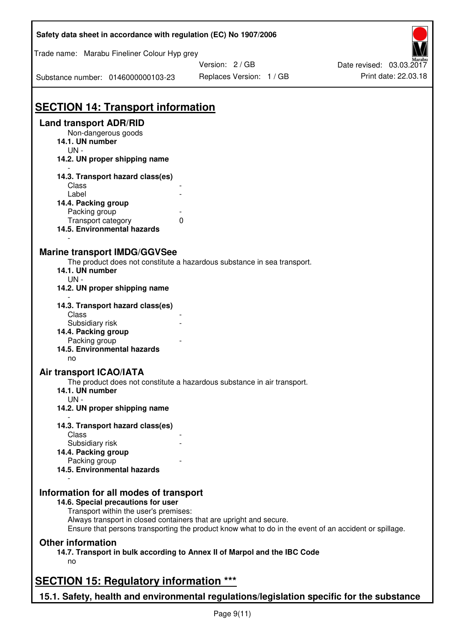| Version: 2 / GB<br>Replaces Version: 1 / GB<br><b>SECTION 14: Transport information</b><br><b>Land transport ADR/RID</b><br>Non-dangerous goods<br>14.1. UN number<br>$UN -$<br>14.2. UN proper shipping name<br>14.3. Transport hazard class(es)<br>Class<br>Label<br>14.4. Packing group<br>Packing group<br>Transport category<br>$\Omega$<br>14.5. Environmental hazards<br><b>Marine transport IMDG/GGVSee</b><br>The product does not constitute a hazardous substance in sea transport.<br>14.1. UN number<br>$UN -$<br>14.2. UN proper shipping name<br>14.3. Transport hazard class(es)<br>Class<br>Subsidiary risk<br>14.4. Packing group<br>Packing group<br>14.5. Environmental hazards<br>no<br>Air transport ICAO/IATA<br>The product does not constitute a hazardous substance in air transport.<br>14.1. UN number<br>$UN -$<br>14.2. UN proper shipping name<br>14.3. Transport hazard class(es)<br>Class<br>Subsidiary risk<br>14.4. Packing group<br>Packing group<br>14.5. Environmental hazards<br>Information for all modes of transport<br>14.6. Special precautions for user<br>Transport within the user's premises:<br>Always transport in closed containers that are upright and secure.<br>Ensure that persons transporting the product know what to do in the event of an accident or spillage.<br><b>Other information</b><br>14.7. Transport in bulk according to Annex II of Marpol and the IBC Code<br>no<br><b>SECTION 15: Regulatory information ***</b><br>15.1. Safety, health and environmental regulations/legislation specific for the substance | Safety data sheet in accordance with regulation (EC) No 1907/2006 |  |                          |  |  |  |
|------------------------------------------------------------------------------------------------------------------------------------------------------------------------------------------------------------------------------------------------------------------------------------------------------------------------------------------------------------------------------------------------------------------------------------------------------------------------------------------------------------------------------------------------------------------------------------------------------------------------------------------------------------------------------------------------------------------------------------------------------------------------------------------------------------------------------------------------------------------------------------------------------------------------------------------------------------------------------------------------------------------------------------------------------------------------------------------------------------------------------------------------------------------------------------------------------------------------------------------------------------------------------------------------------------------------------------------------------------------------------------------------------------------------------------------------------------------------------------------------------------------------------------------------------------------------------------------|-------------------------------------------------------------------|--|--------------------------|--|--|--|
|                                                                                                                                                                                                                                                                                                                                                                                                                                                                                                                                                                                                                                                                                                                                                                                                                                                                                                                                                                                                                                                                                                                                                                                                                                                                                                                                                                                                                                                                                                                                                                                          | Trade name: Marabu Fineliner Colour Hyp grey                      |  |                          |  |  |  |
|                                                                                                                                                                                                                                                                                                                                                                                                                                                                                                                                                                                                                                                                                                                                                                                                                                                                                                                                                                                                                                                                                                                                                                                                                                                                                                                                                                                                                                                                                                                                                                                          |                                                                   |  | Date revised: 03.03.2017 |  |  |  |
|                                                                                                                                                                                                                                                                                                                                                                                                                                                                                                                                                                                                                                                                                                                                                                                                                                                                                                                                                                                                                                                                                                                                                                                                                                                                                                                                                                                                                                                                                                                                                                                          | Substance number: 0146000000103-23                                |  | Print date: 22.03.18     |  |  |  |
|                                                                                                                                                                                                                                                                                                                                                                                                                                                                                                                                                                                                                                                                                                                                                                                                                                                                                                                                                                                                                                                                                                                                                                                                                                                                                                                                                                                                                                                                                                                                                                                          |                                                                   |  |                          |  |  |  |
|                                                                                                                                                                                                                                                                                                                                                                                                                                                                                                                                                                                                                                                                                                                                                                                                                                                                                                                                                                                                                                                                                                                                                                                                                                                                                                                                                                                                                                                                                                                                                                                          |                                                                   |  |                          |  |  |  |
|                                                                                                                                                                                                                                                                                                                                                                                                                                                                                                                                                                                                                                                                                                                                                                                                                                                                                                                                                                                                                                                                                                                                                                                                                                                                                                                                                                                                                                                                                                                                                                                          |                                                                   |  |                          |  |  |  |
|                                                                                                                                                                                                                                                                                                                                                                                                                                                                                                                                                                                                                                                                                                                                                                                                                                                                                                                                                                                                                                                                                                                                                                                                                                                                                                                                                                                                                                                                                                                                                                                          |                                                                   |  |                          |  |  |  |
|                                                                                                                                                                                                                                                                                                                                                                                                                                                                                                                                                                                                                                                                                                                                                                                                                                                                                                                                                                                                                                                                                                                                                                                                                                                                                                                                                                                                                                                                                                                                                                                          |                                                                   |  |                          |  |  |  |
|                                                                                                                                                                                                                                                                                                                                                                                                                                                                                                                                                                                                                                                                                                                                                                                                                                                                                                                                                                                                                                                                                                                                                                                                                                                                                                                                                                                                                                                                                                                                                                                          |                                                                   |  |                          |  |  |  |
|                                                                                                                                                                                                                                                                                                                                                                                                                                                                                                                                                                                                                                                                                                                                                                                                                                                                                                                                                                                                                                                                                                                                                                                                                                                                                                                                                                                                                                                                                                                                                                                          |                                                                   |  |                          |  |  |  |
|                                                                                                                                                                                                                                                                                                                                                                                                                                                                                                                                                                                                                                                                                                                                                                                                                                                                                                                                                                                                                                                                                                                                                                                                                                                                                                                                                                                                                                                                                                                                                                                          |                                                                   |  |                          |  |  |  |
|                                                                                                                                                                                                                                                                                                                                                                                                                                                                                                                                                                                                                                                                                                                                                                                                                                                                                                                                                                                                                                                                                                                                                                                                                                                                                                                                                                                                                                                                                                                                                                                          |                                                                   |  |                          |  |  |  |
|                                                                                                                                                                                                                                                                                                                                                                                                                                                                                                                                                                                                                                                                                                                                                                                                                                                                                                                                                                                                                                                                                                                                                                                                                                                                                                                                                                                                                                                                                                                                                                                          |                                                                   |  |                          |  |  |  |
|                                                                                                                                                                                                                                                                                                                                                                                                                                                                                                                                                                                                                                                                                                                                                                                                                                                                                                                                                                                                                                                                                                                                                                                                                                                                                                                                                                                                                                                                                                                                                                                          |                                                                   |  |                          |  |  |  |
|                                                                                                                                                                                                                                                                                                                                                                                                                                                                                                                                                                                                                                                                                                                                                                                                                                                                                                                                                                                                                                                                                                                                                                                                                                                                                                                                                                                                                                                                                                                                                                                          |                                                                   |  |                          |  |  |  |
|                                                                                                                                                                                                                                                                                                                                                                                                                                                                                                                                                                                                                                                                                                                                                                                                                                                                                                                                                                                                                                                                                                                                                                                                                                                                                                                                                                                                                                                                                                                                                                                          |                                                                   |  |                          |  |  |  |
|                                                                                                                                                                                                                                                                                                                                                                                                                                                                                                                                                                                                                                                                                                                                                                                                                                                                                                                                                                                                                                                                                                                                                                                                                                                                                                                                                                                                                                                                                                                                                                                          |                                                                   |  |                          |  |  |  |
|                                                                                                                                                                                                                                                                                                                                                                                                                                                                                                                                                                                                                                                                                                                                                                                                                                                                                                                                                                                                                                                                                                                                                                                                                                                                                                                                                                                                                                                                                                                                                                                          |                                                                   |  |                          |  |  |  |
|                                                                                                                                                                                                                                                                                                                                                                                                                                                                                                                                                                                                                                                                                                                                                                                                                                                                                                                                                                                                                                                                                                                                                                                                                                                                                                                                                                                                                                                                                                                                                                                          |                                                                   |  |                          |  |  |  |
|                                                                                                                                                                                                                                                                                                                                                                                                                                                                                                                                                                                                                                                                                                                                                                                                                                                                                                                                                                                                                                                                                                                                                                                                                                                                                                                                                                                                                                                                                                                                                                                          |                                                                   |  |                          |  |  |  |
|                                                                                                                                                                                                                                                                                                                                                                                                                                                                                                                                                                                                                                                                                                                                                                                                                                                                                                                                                                                                                                                                                                                                                                                                                                                                                                                                                                                                                                                                                                                                                                                          |                                                                   |  |                          |  |  |  |
|                                                                                                                                                                                                                                                                                                                                                                                                                                                                                                                                                                                                                                                                                                                                                                                                                                                                                                                                                                                                                                                                                                                                                                                                                                                                                                                                                                                                                                                                                                                                                                                          |                                                                   |  |                          |  |  |  |
|                                                                                                                                                                                                                                                                                                                                                                                                                                                                                                                                                                                                                                                                                                                                                                                                                                                                                                                                                                                                                                                                                                                                                                                                                                                                                                                                                                                                                                                                                                                                                                                          |                                                                   |  |                          |  |  |  |
|                                                                                                                                                                                                                                                                                                                                                                                                                                                                                                                                                                                                                                                                                                                                                                                                                                                                                                                                                                                                                                                                                                                                                                                                                                                                                                                                                                                                                                                                                                                                                                                          |                                                                   |  |                          |  |  |  |
|                                                                                                                                                                                                                                                                                                                                                                                                                                                                                                                                                                                                                                                                                                                                                                                                                                                                                                                                                                                                                                                                                                                                                                                                                                                                                                                                                                                                                                                                                                                                                                                          |                                                                   |  |                          |  |  |  |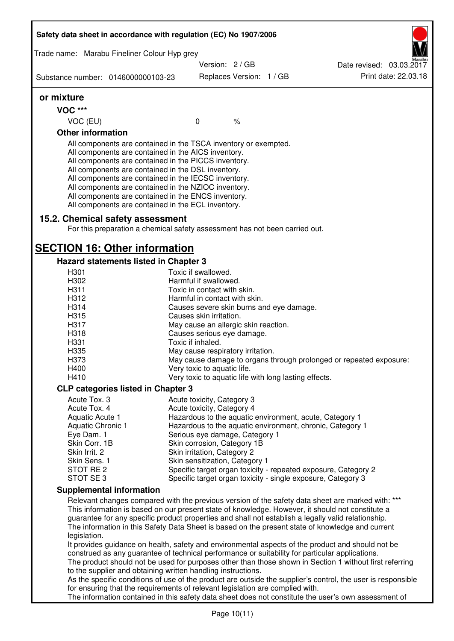| Safety data sheet in accordance with regulation (EC) No 1907/2006                                                                                                                                                                                                                                                                                                                                                                                                 |  |                                                              |                          |  |                                                                                                                                |
|-------------------------------------------------------------------------------------------------------------------------------------------------------------------------------------------------------------------------------------------------------------------------------------------------------------------------------------------------------------------------------------------------------------------------------------------------------------------|--|--------------------------------------------------------------|--------------------------|--|--------------------------------------------------------------------------------------------------------------------------------|
| Trade name: Marabu Fineliner Colour Hyp grey                                                                                                                                                                                                                                                                                                                                                                                                                      |  |                                                              |                          |  |                                                                                                                                |
|                                                                                                                                                                                                                                                                                                                                                                                                                                                                   |  | Version: 2 / GB                                              |                          |  | Date revised: 03.03.2017                                                                                                       |
| Substance number: 0146000000103-23                                                                                                                                                                                                                                                                                                                                                                                                                                |  |                                                              | Replaces Version: 1 / GB |  | Print date: 22.03.18                                                                                                           |
| or mixture                                                                                                                                                                                                                                                                                                                                                                                                                                                        |  |                                                              |                          |  |                                                                                                                                |
| <b>VOC ***</b>                                                                                                                                                                                                                                                                                                                                                                                                                                                    |  |                                                              |                          |  |                                                                                                                                |
| VOC (EU)                                                                                                                                                                                                                                                                                                                                                                                                                                                          |  | $\mathbf 0$                                                  | $\frac{1}{6}$            |  |                                                                                                                                |
| <b>Other information</b>                                                                                                                                                                                                                                                                                                                                                                                                                                          |  |                                                              |                          |  |                                                                                                                                |
| All components are contained in the TSCA inventory or exempted.<br>All components are contained in the AICS inventory.<br>All components are contained in the PICCS inventory.<br>All components are contained in the DSL inventory.<br>All components are contained in the IECSC inventory.<br>All components are contained in the NZIOC inventory.<br>All components are contained in the ENCS inventory.<br>All components are contained in the ECL inventory. |  |                                                              |                          |  |                                                                                                                                |
| 15.2. Chemical safety assessment<br>For this preparation a chemical safety assessment has not been carried out.                                                                                                                                                                                                                                                                                                                                                   |  |                                                              |                          |  |                                                                                                                                |
| <b>SECTION 16: Other information</b>                                                                                                                                                                                                                                                                                                                                                                                                                              |  |                                                              |                          |  |                                                                                                                                |
| Hazard statements listed in Chapter 3                                                                                                                                                                                                                                                                                                                                                                                                                             |  |                                                              |                          |  |                                                                                                                                |
| H301                                                                                                                                                                                                                                                                                                                                                                                                                                                              |  | Toxic if swallowed.                                          |                          |  |                                                                                                                                |
| H302                                                                                                                                                                                                                                                                                                                                                                                                                                                              |  | Harmful if swallowed.                                        |                          |  |                                                                                                                                |
| H311<br>H312                                                                                                                                                                                                                                                                                                                                                                                                                                                      |  | Toxic in contact with skin.<br>Harmful in contact with skin. |                          |  |                                                                                                                                |
| H314                                                                                                                                                                                                                                                                                                                                                                                                                                                              |  | Causes severe skin burns and eye damage.                     |                          |  |                                                                                                                                |
| H315                                                                                                                                                                                                                                                                                                                                                                                                                                                              |  | Causes skin irritation.                                      |                          |  |                                                                                                                                |
| H317                                                                                                                                                                                                                                                                                                                                                                                                                                                              |  | May cause an allergic skin reaction.                         |                          |  |                                                                                                                                |
| H318                                                                                                                                                                                                                                                                                                                                                                                                                                                              |  | Causes serious eye damage.                                   |                          |  |                                                                                                                                |
| H331                                                                                                                                                                                                                                                                                                                                                                                                                                                              |  | Toxic if inhaled.                                            |                          |  |                                                                                                                                |
| H <sub>335</sub>                                                                                                                                                                                                                                                                                                                                                                                                                                                  |  | May cause respiratory irritation.                            |                          |  |                                                                                                                                |
| H373                                                                                                                                                                                                                                                                                                                                                                                                                                                              |  |                                                              |                          |  | May cause damage to organs through prolonged or repeated exposure:                                                             |
| H400                                                                                                                                                                                                                                                                                                                                                                                                                                                              |  | Very toxic to aquatic life.                                  |                          |  |                                                                                                                                |
| H410                                                                                                                                                                                                                                                                                                                                                                                                                                                              |  | Very toxic to aquatic life with long lasting effects.        |                          |  |                                                                                                                                |
| <b>CLP categories listed in Chapter 3</b>                                                                                                                                                                                                                                                                                                                                                                                                                         |  |                                                              |                          |  |                                                                                                                                |
| Acute Tox. 3                                                                                                                                                                                                                                                                                                                                                                                                                                                      |  | Acute toxicity, Category 3                                   |                          |  |                                                                                                                                |
| Acute Tox. 4                                                                                                                                                                                                                                                                                                                                                                                                                                                      |  | Acute toxicity, Category 4                                   |                          |  |                                                                                                                                |
| Aquatic Acute 1                                                                                                                                                                                                                                                                                                                                                                                                                                                   |  |                                                              |                          |  | Hazardous to the aquatic environment, acute, Category 1                                                                        |
| Aquatic Chronic 1                                                                                                                                                                                                                                                                                                                                                                                                                                                 |  |                                                              |                          |  | Hazardous to the aquatic environment, chronic, Category 1                                                                      |
| Eye Dam. 1                                                                                                                                                                                                                                                                                                                                                                                                                                                        |  | Serious eye damage, Category 1                               |                          |  |                                                                                                                                |
| Skin Corr. 1B                                                                                                                                                                                                                                                                                                                                                                                                                                                     |  | Skin corrosion, Category 1B                                  |                          |  |                                                                                                                                |
| Skin Irrit. 2                                                                                                                                                                                                                                                                                                                                                                                                                                                     |  | Skin irritation, Category 2                                  |                          |  |                                                                                                                                |
| Skin Sens. 1                                                                                                                                                                                                                                                                                                                                                                                                                                                      |  | Skin sensitization, Category 1                               |                          |  |                                                                                                                                |
| STOT RE 2<br>STOT SE 3                                                                                                                                                                                                                                                                                                                                                                                                                                            |  |                                                              |                          |  | Specific target organ toxicity - repeated exposure, Category 2<br>Specific target organ toxicity - single exposure, Category 3 |
| <b>Supplemental information</b>                                                                                                                                                                                                                                                                                                                                                                                                                                   |  |                                                              |                          |  |                                                                                                                                |
|                                                                                                                                                                                                                                                                                                                                                                                                                                                                   |  |                                                              |                          |  | Relevant changes compared with the previous version of the safety data sheet are marked with: ***                              |
|                                                                                                                                                                                                                                                                                                                                                                                                                                                                   |  |                                                              |                          |  |                                                                                                                                |
| This information is based on our present state of knowledge. However, it should not constitute a<br>guarantee for any specific product properties and shall not establish a legally valid relationship.                                                                                                                                                                                                                                                           |  |                                                              |                          |  |                                                                                                                                |
| The information in this Safety Data Sheet is based on the present state of knowledge and current                                                                                                                                                                                                                                                                                                                                                                  |  |                                                              |                          |  |                                                                                                                                |
| legislation.                                                                                                                                                                                                                                                                                                                                                                                                                                                      |  |                                                              |                          |  |                                                                                                                                |
|                                                                                                                                                                                                                                                                                                                                                                                                                                                                   |  |                                                              |                          |  | It provides guidance on health, safety and environmental aspects of the product and should not be                              |
| construed as any guarantee of technical performance or suitability for particular applications.                                                                                                                                                                                                                                                                                                                                                                   |  |                                                              |                          |  |                                                                                                                                |
|                                                                                                                                                                                                                                                                                                                                                                                                                                                                   |  |                                                              |                          |  | The product should not be used for purposes other than those shown in Section 1 without first referring                        |
| to the supplier and obtaining written handling instructions.                                                                                                                                                                                                                                                                                                                                                                                                      |  |                                                              |                          |  |                                                                                                                                |
| As the specific conditions of use of the product are outside the supplier's control, the user is responsible<br>for ensuring that the requirements of relevant legislation are complied with.                                                                                                                                                                                                                                                                     |  |                                                              |                          |  |                                                                                                                                |
|                                                                                                                                                                                                                                                                                                                                                                                                                                                                   |  |                                                              |                          |  | The information contained in this safety data sheet does not constitute the user's own assessment of                           |